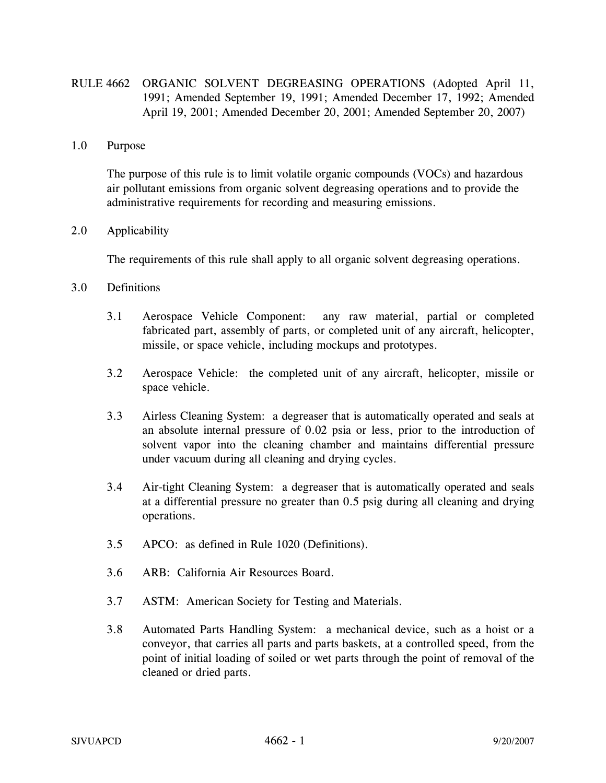# RULE 4662 ORGANIC SOLVENT DEGREASING OPERATIONS (Adopted April 11, 1991; Amended September 19, 1991; Amended December 17, 1992; Amended April 19, 2001; Amended December 20, 2001; Amended September 20, 2007)

#### 1.0 Purpose

The purpose of this rule is to limit volatile organic compounds (VOCs) and hazardous air pollutant emissions from organic solvent degreasing operations and to provide the administrative requirements for recording and measuring emissions.

### 2.0 Applicability

The requirements of this rule shall apply to all organic solvent degreasing operations.

### 3.0 Definitions

- 3.1 Aerospace Vehicle Component: any raw material, partial or completed fabricated part, assembly of parts, or completed unit of any aircraft, helicopter, missile, or space vehicle, including mockups and prototypes.
- 3.2 Aerospace Vehicle: the completed unit of any aircraft, helicopter, missile or space vehicle.
- 3.3 Airless Cleaning System: a degreaser that is automatically operated and seals at an absolute internal pressure of 0.02 psia or less, prior to the introduction of solvent vapor into the cleaning chamber and maintains differential pressure under vacuum during all cleaning and drying cycles.
- 3.4 Air-tight Cleaning System: a degreaser that is automatically operated and seals at a differential pressure no greater than 0.5 psig during all cleaning and drying operations.
- 3.5 APCO: as defined in Rule 1020 (Definitions).
- 3.6 ARB: California Air Resources Board.
- 3.7 ASTM: American Society for Testing and Materials.
- 3.8 Automated Parts Handling System: a mechanical device, such as a hoist or a conveyor, that carries all parts and parts baskets, at a controlled speed, from the point of initial loading of soiled or wet parts through the point of removal of the cleaned or dried parts.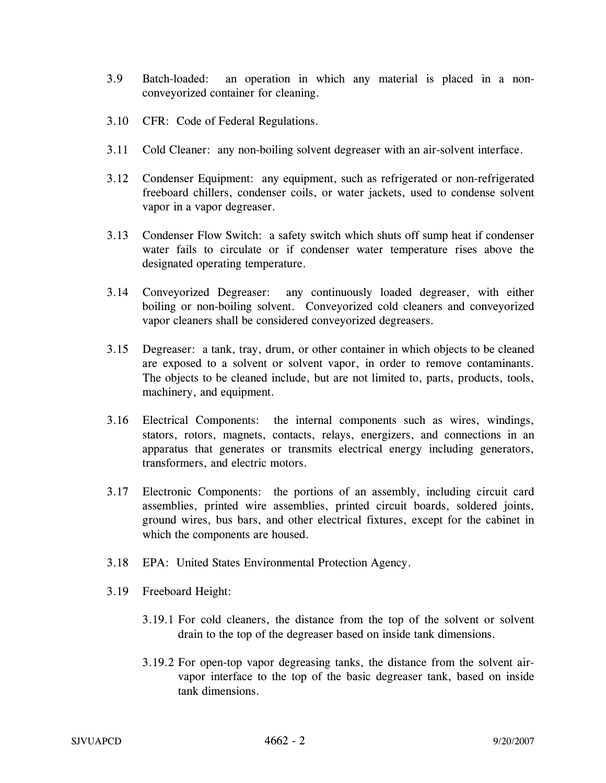- 3.9 Batch-loaded: an operation in which any material is placed in a nonconveyorized container for cleaning.
- 3.10 CFR: Code of Federal Regulations.
- 3.11 Cold Cleaner: any non-boiling solvent degreaser with an air-solvent interface.
- 3.12 Condenser Equipment: any equipment, such as refrigerated or non-refrigerated freeboard chillers, condenser coils, or water jackets, used to condense solvent vapor in a vapor degreaser.
- 3.13 Condenser Flow Switch: a safety switch which shuts off sump heat if condenser water fails to circulate or if condenser water temperature rises above the designated operating temperature.
- 3.14 Conveyorized Degreaser: any continuously loaded degreaser, with either boiling or non-boiling solvent. Conveyorized cold cleaners and conveyorized vapor cleaners shall be considered conveyorized degreasers.
- 3.15 Degreaser: a tank, tray, drum, or other container in which objects to be cleaned are exposed to a solvent or solvent vapor, in order to remove contaminants. The objects to be cleaned include, but are not limited to, parts, products, tools, machinery, and equipment.
- 3.16 Electrical Components: the internal components such as wires, windings, stators, rotors, magnets, contacts, relays, energizers, and connections in an apparatus that generates or transmits electrical energy including generators, transformers, and electric motors.
- 3.17 Electronic Components: the portions of an assembly, including circuit card assemblies, printed wire assemblies, printed circuit boards, soldered joints, ground wires, bus bars, and other electrical fixtures, except for the cabinet in which the components are housed.
- 3.18 EPA: United States Environmental Protection Agency.
- 3.19 Freeboard Height:
	- 3.19.1 For cold cleaners, the distance from the top of the solvent or solvent drain to the top of the degreaser based on inside tank dimensions.
	- 3.19.2 For open-top vapor degreasing tanks, the distance from the solvent airvapor interface to the top of the basic degreaser tank, based on inside tank dimensions.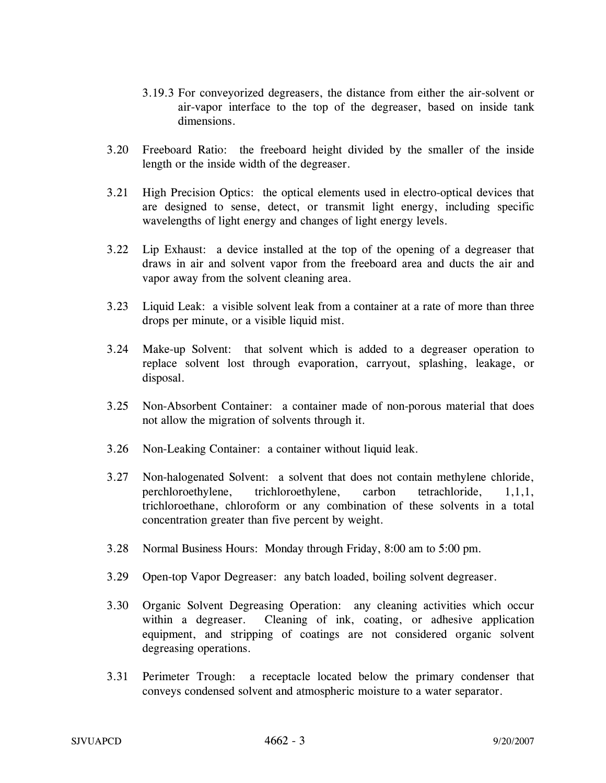- 3.19.3 For conveyorized degreasers, the distance from either the air-solvent or air-vapor interface to the top of the degreaser, based on inside tank dimensions.
- 3.20 Freeboard Ratio: the freeboard height divided by the smaller of the inside length or the inside width of the degreaser.
- 3.21 High Precision Optics: the optical elements used in electro-optical devices that are designed to sense, detect, or transmit light energy, including specific wavelengths of light energy and changes of light energy levels.
- 3.22 Lip Exhaust: a device installed at the top of the opening of a degreaser that draws in air and solvent vapor from the freeboard area and ducts the air and vapor away from the solvent cleaning area.
- 3.23 Liquid Leak: a visible solvent leak from a container at a rate of more than three drops per minute, or a visible liquid mist.
- 3.24 Make-up Solvent: that solvent which is added to a degreaser operation to replace solvent lost through evaporation, carryout, splashing, leakage, or disposal.
- 3.25 Non-Absorbent Container: a container made of non-porous material that does not allow the migration of solvents through it.
- 3.26 Non-Leaking Container: a container without liquid leak.
- 3.27 Non-halogenated Solvent: a solvent that does not contain methylene chloride, perchloroethylene, trichloroethylene, carbon tetrachloride, 1,1,1, trichloroethane, chloroform or any combination of these solvents in a total concentration greater than five percent by weight.
- 3.28 Normal Business Hours: Monday through Friday, 8:00 am to 5:00 pm.
- 3.29 Open-top Vapor Degreaser: any batch loaded, boiling solvent degreaser.
- 3.30 Organic Solvent Degreasing Operation: any cleaning activities which occur within a degreaser. Cleaning of ink, coating, or adhesive application equipment, and stripping of coatings are not considered organic solvent degreasing operations.
- 3.31 Perimeter Trough: a receptacle located below the primary condenser that conveys condensed solvent and atmospheric moisture to a water separator.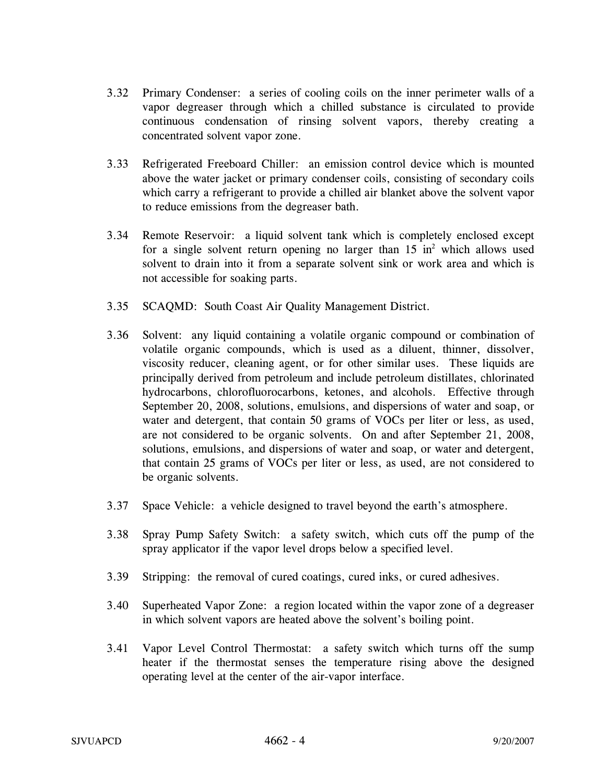- 3.32 Primary Condenser: a series of cooling coils on the inner perimeter walls of a vapor degreaser through which a chilled substance is circulated to provide continuous condensation of rinsing solvent vapors, thereby creating a concentrated solvent vapor zone.
- 3.33 Refrigerated Freeboard Chiller: an emission control device which is mounted above the water jacket or primary condenser coils, consisting of secondary coils which carry a refrigerant to provide a chilled air blanket above the solvent vapor to reduce emissions from the degreaser bath.
- 3.34 Remote Reservoir: a liquid solvent tank which is completely enclosed except for a single solvent return opening no larger than  $15 \text{ in}^2$  which allows used solvent to drain into it from a separate solvent sink or work area and which is not accessible for soaking parts.
- 3.35 SCAQMD: South Coast Air Quality Management District.
- 3.36 Solvent: any liquid containing a volatile organic compound or combination of volatile organic compounds, which is used as a diluent, thinner, dissolver, viscosity reducer, cleaning agent, or for other similar uses. These liquids are principally derived from petroleum and include petroleum distillates, chlorinated hydrocarbons, chlorofluorocarbons, ketones, and alcohols. Effective through September 20, 2008, solutions, emulsions, and dispersions of water and soap, or water and detergent, that contain 50 grams of VOCs per liter or less, as used, are not considered to be organic solvents. On and after September 21, 2008, solutions, emulsions, and dispersions of water and soap, or water and detergent, that contain 25 grams of VOCs per liter or less, as used, are not considered to be organic solvents.
- 3.37 Space Vehicle: a vehicle designed to travel beyond the earth's atmosphere.
- 3.38 Spray Pump Safety Switch: a safety switch, which cuts off the pump of the spray applicator if the vapor level drops below a specified level.
- 3.39 Stripping: the removal of cured coatings, cured inks, or cured adhesives.
- 3.40 Superheated Vapor Zone: a region located within the vapor zone of a degreaser in which solvent vapors are heated above the solvent's boiling point.
- 3.41 Vapor Level Control Thermostat: a safety switch which turns off the sump heater if the thermostat senses the temperature rising above the designed operating level at the center of the air-vapor interface.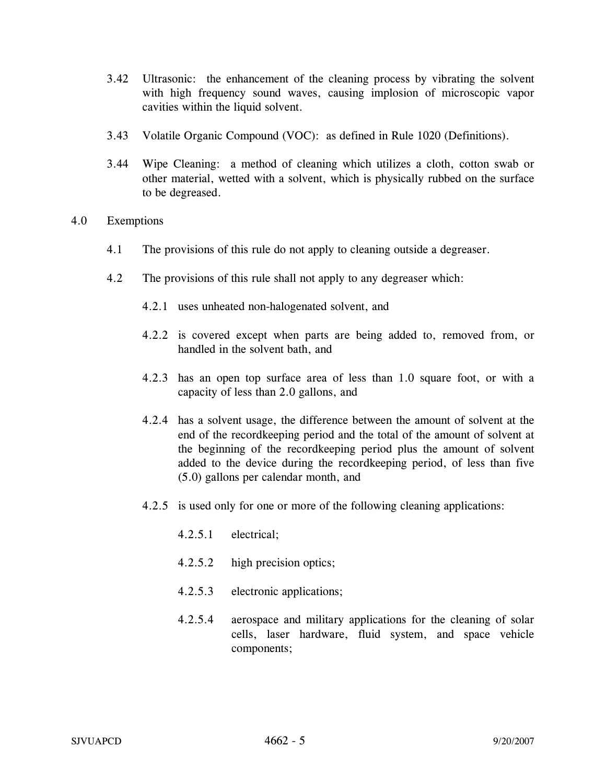- 3.42 Ultrasonic: the enhancement of the cleaning process by vibrating the solvent with high frequency sound waves, causing implosion of microscopic vapor cavities within the liquid solvent.
- 3.43 Volatile Organic Compound (VOC): as defined in Rule 1020 (Definitions).
- 3.44 Wipe Cleaning: a method of cleaning which utilizes a cloth, cotton swab or other material, wetted with a solvent, which is physically rubbed on the surface to be degreased.
- 4.0 Exemptions
	- 4.1 The provisions of this rule do not apply to cleaning outside a degreaser.
	- 4.2 The provisions of this rule shall not apply to any degreaser which:
		- 4.2.1 uses unheated non-halogenated solvent, and
		- 4.2.2 is covered except when parts are being added to, removed from, or handled in the solvent bath, and
		- 4.2.3 has an open top surface area of less than 1.0 square foot, or with a capacity of less than 2.0 gallons, and
		- 4.2.4 has a solvent usage, the difference between the amount of solvent at the end of the recordkeeping period and the total of the amount of solvent at the beginning of the recordkeeping period plus the amount of solvent added to the device during the recordkeeping period, of less than five (5.0) gallons per calendar month, and
		- 4.2.5 is used only for one or more of the following cleaning applications:
			- 4.2.5.1 electrical;
			- 4.2.5.2 high precision optics;
			- 4.2.5.3 electronic applications;
			- 4.2.5.4 aerospace and military applications for the cleaning of solar cells, laser hardware, fluid system, and space vehicle components;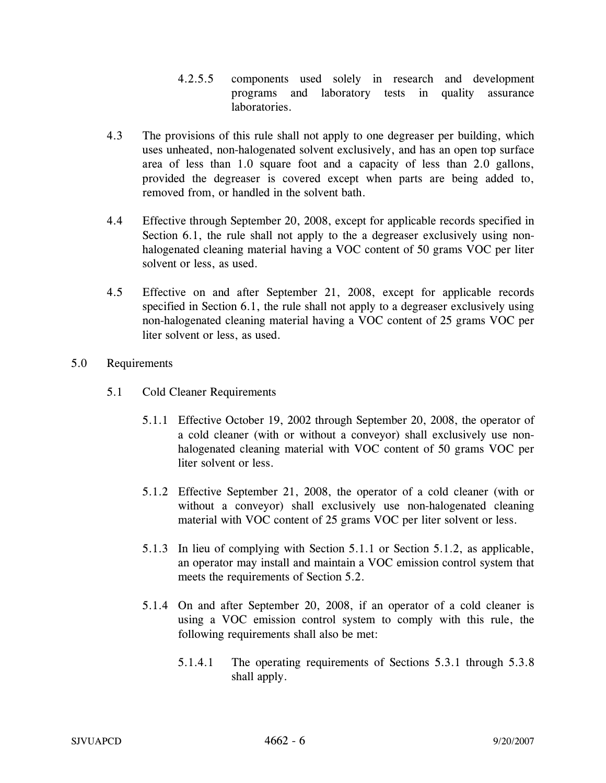- 4.2.5.5 components used solely in research and development programs and laboratory tests in quality assurance laboratories.
- 4.3 The provisions of this rule shall not apply to one degreaser per building, which uses unheated, non-halogenated solvent exclusively, and has an open top surface area of less than 1.0 square foot and a capacity of less than 2.0 gallons, provided the degreaser is covered except when parts are being added to, removed from, or handled in the solvent bath.
- 4.4 Effective through September 20, 2008, except for applicable records specified in Section 6.1, the rule shall not apply to the a degreaser exclusively using nonhalogenated cleaning material having a VOC content of 50 grams VOC per liter solvent or less, as used.
- 4.5 Effective on and after September 21, 2008, except for applicable records specified in Section 6.1, the rule shall not apply to a degreaser exclusively using non-halogenated cleaning material having a VOC content of 25 grams VOC per liter solvent or less, as used.

# 5.0 Requirements

- 5.1 Cold Cleaner Requirements
	- 5.1.1 Effective October 19, 2002 through September 20, 2008, the operator of a cold cleaner (with or without a conveyor) shall exclusively use nonhalogenated cleaning material with VOC content of 50 grams VOC per liter solvent or less.
	- 5.1.2 Effective September 21, 2008, the operator of a cold cleaner (with or without a conveyor) shall exclusively use non-halogenated cleaning material with VOC content of 25 grams VOC per liter solvent or less.
	- 5.1.3 In lieu of complying with Section 5.1.1 or Section 5.1.2, as applicable, an operator may install and maintain a VOC emission control system that meets the requirements of Section 5.2.
	- 5.1.4 On and after September 20, 2008, if an operator of a cold cleaner is using a VOC emission control system to comply with this rule, the following requirements shall also be met:
		- 5.1.4.1 The operating requirements of Sections 5.3.1 through 5.3.8 shall apply.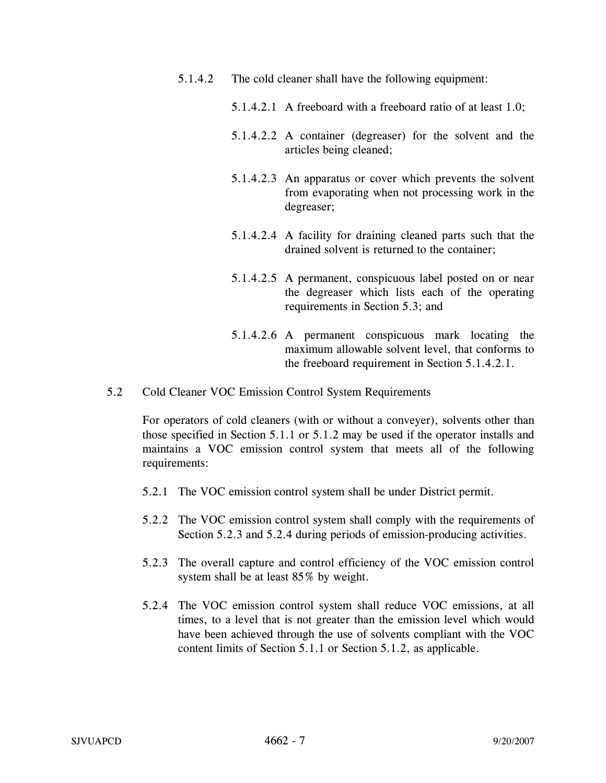- 5.1.4.2 The cold cleaner shall have the following equipment:
	- 5.1.4.2.1 A freeboard with a freeboard ratio of at least 1.0;
	- 5.1.4.2.2 A container (degreaser) for the solvent and the articles being cleaned;
	- 5.1.4.2.3 An apparatus or cover which prevents the solvent from evaporating when not processing work in the degreaser;
	- 5.1.4.2.4 A facility for draining cleaned parts such that the drained solvent is returned to the container;
	- 5.1.4.2.5 A permanent, conspicuous label posted on or near the degreaser which lists each of the operating requirements in Section 5.3; and
	- 5.1.4.2.6 A permanent conspicuous mark locating the maximum allowable solvent level, that conforms to the freeboard requirement in Section 5.1.4.2.1.
- 5.2 Cold Cleaner VOC Emission Control System Requirements

For operators of cold cleaners (with or without a conveyer), solvents other than those specified in Section 5.1.1 or 5.1.2 may be used if the operator installs and maintains a VOC emission control system that meets all of the following requirements:

- 5.2.1 The VOC emission control system shall be under District permit.
- 5.2.2 The VOC emission control system shall comply with the requirements of Section 5.2.3 and 5.2.4 during periods of emission-producing activities.
- 5.2.3 The overall capture and control efficiency of the VOC emission control system shall be at least 85% by weight.
- 5.2.4 The VOC emission control system shall reduce VOC emissions, at all times, to a level that is not greater than the emission level which would have been achieved through the use of solvents compliant with the VOC content limits of Section 5.1.1 or Section 5.1.2, as applicable.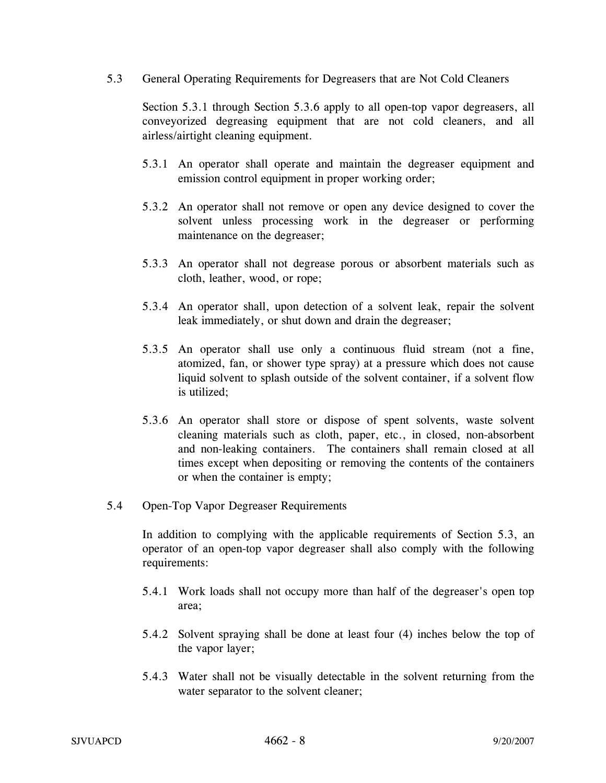5.3 General Operating Requirements for Degreasers that are Not Cold Cleaners

Section 5.3.1 through Section 5.3.6 apply to all open-top vapor degreasers, all conveyorized degreasing equipment that are not cold cleaners, and all airless/airtight cleaning equipment.

- 5.3.1 An operator shall operate and maintain the degreaser equipment and emission control equipment in proper working order;
- 5.3.2 An operator shall not remove or open any device designed to cover the solvent unless processing work in the degreaser or performing maintenance on the degreaser;
- 5.3.3 An operator shall not degrease porous or absorbent materials such as cloth, leather, wood, or rope;
- 5.3.4 An operator shall, upon detection of a solvent leak, repair the solvent leak immediately, or shut down and drain the degreaser;
- 5.3.5 An operator shall use only a continuous fluid stream (not a fine, atomized, fan, or shower type spray) at a pressure which does not cause liquid solvent to splash outside of the solvent container, if a solvent flow is utilized;
- 5.3.6 An operator shall store or dispose of spent solvents, waste solvent cleaning materials such as cloth, paper, etc., in closed, non-absorbent and non-leaking containers. The containers shall remain closed at all times except when depositing or removing the contents of the containers or when the container is empty;
- 5.4 Open-Top Vapor Degreaser Requirements

In addition to complying with the applicable requirements of Section 5.3, an operator of an open-top vapor degreaser shall also comply with the following requirements:

- 5.4.1 Work loads shall not occupy more than half of the degreaser's open top area;
- 5.4.2 Solvent spraying shall be done at least four (4) inches below the top of the vapor layer;
- 5.4.3 Water shall not be visually detectable in the solvent returning from the water separator to the solvent cleaner;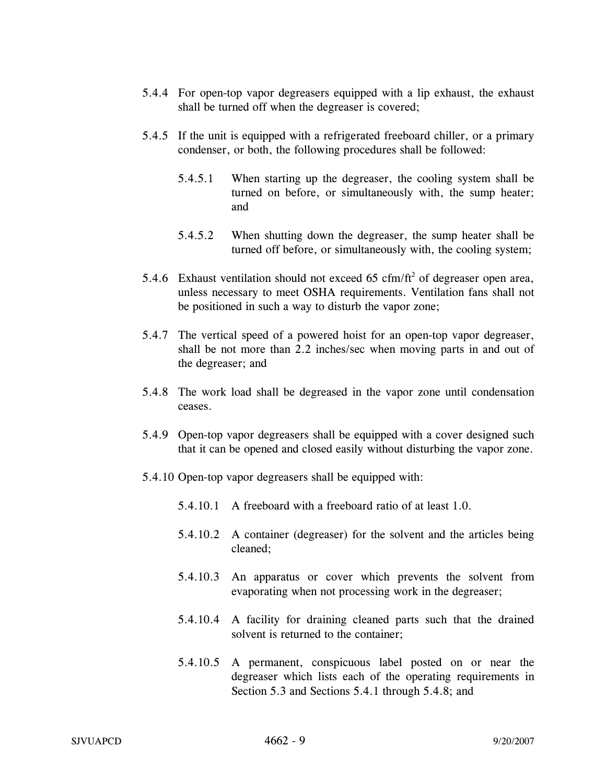- 5.4.4 For open-top vapor degreasers equipped with a lip exhaust, the exhaust shall be turned off when the degreaser is covered;
- 5.4.5 If the unit is equipped with a refrigerated freeboard chiller, or a primary condenser, or both, the following procedures shall be followed:
	- 5.4.5.1 When starting up the degreaser, the cooling system shall be turned on before, or simultaneously with, the sump heater; and
	- 5.4.5.2 When shutting down the degreaser, the sump heater shall be turned off before, or simultaneously with, the cooling system;
- 5.4.6 Exhaust ventilation should not exceed 65 cfm/ $ft<sup>2</sup>$  of degreaser open area, unless necessary to meet OSHA requirements. Ventilation fans shall not be positioned in such a way to disturb the vapor zone;
- 5.4.7 The vertical speed of a powered hoist for an open-top vapor degreaser, shall be not more than 2.2 inches/sec when moving parts in and out of the degreaser; and
- 5.4.8 The work load shall be degreased in the vapor zone until condensation ceases.
- 5.4.9 Open-top vapor degreasers shall be equipped with a cover designed such that it can be opened and closed easily without disturbing the vapor zone.
- 5.4.10 Open-top vapor degreasers shall be equipped with:
	- 5.4.10.1 A freeboard with a freeboard ratio of at least 1.0.
	- 5.4.10.2 A container (degreaser) for the solvent and the articles being cleaned;
	- 5.4.10.3 An apparatus or cover which prevents the solvent from evaporating when not processing work in the degreaser;
	- 5.4.10.4 A facility for draining cleaned parts such that the drained solvent is returned to the container;
	- 5.4.10.5 A permanent, conspicuous label posted on or near the degreaser which lists each of the operating requirements in Section 5.3 and Sections 5.4.1 through 5.4.8; and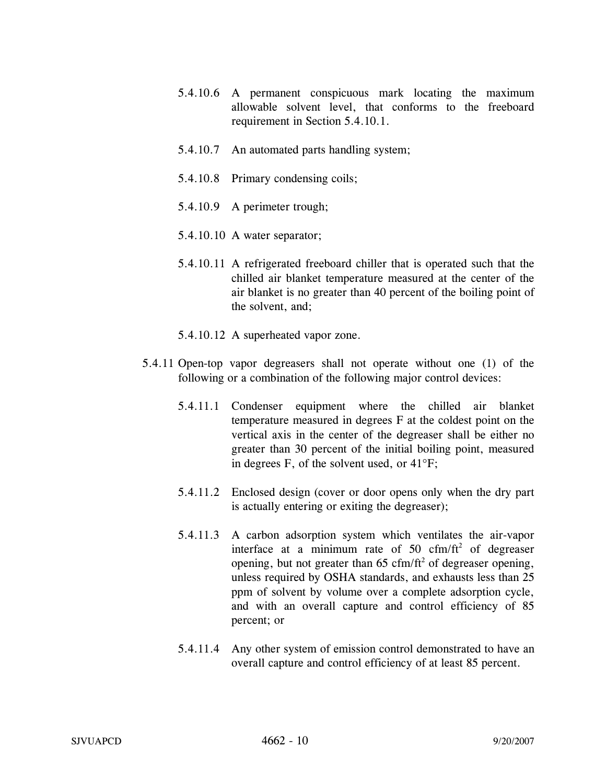- 5.4.10.6 A permanent conspicuous mark locating the maximum allowable solvent level, that conforms to the freeboard requirement in Section 5.4.10.1.
- 5.4.10.7 An automated parts handling system;
- 5.4.10.8 Primary condensing coils;
- 5.4.10.9 A perimeter trough;
- 5.4.10.10 A water separator;
- 5.4.10.11 A refrigerated freeboard chiller that is operated such that the chilled air blanket temperature measured at the center of the air blanket is no greater than 40 percent of the boiling point of the solvent, and;
- 5.4.10.12 A superheated vapor zone.
- 5.4.11 Open-top vapor degreasers shall not operate without one (1) of the following or a combination of the following major control devices:
	- 5.4.11.1 Condenser equipment where the chilled air blanket temperature measured in degrees F at the coldest point on the vertical axis in the center of the degreaser shall be either no greater than 30 percent of the initial boiling point, measured in degrees F, of the solvent used, or 41°F;
	- 5.4.11.2 Enclosed design (cover or door opens only when the dry part is actually entering or exiting the degreaser);
	- 5.4.11.3 A carbon adsorption system which ventilates the air-vapor interface at a minimum rate of 50  $\text{cfm/ft}^2$  of degreaser opening, but not greater than  $65 \text{ cfm/ft}^2$  of degreaser opening, unless required by OSHA standards, and exhausts less than 25 ppm of solvent by volume over a complete adsorption cycle, and with an overall capture and control efficiency of 85 percent; or
	- 5.4.11.4 Any other system of emission control demonstrated to have an overall capture and control efficiency of at least 85 percent.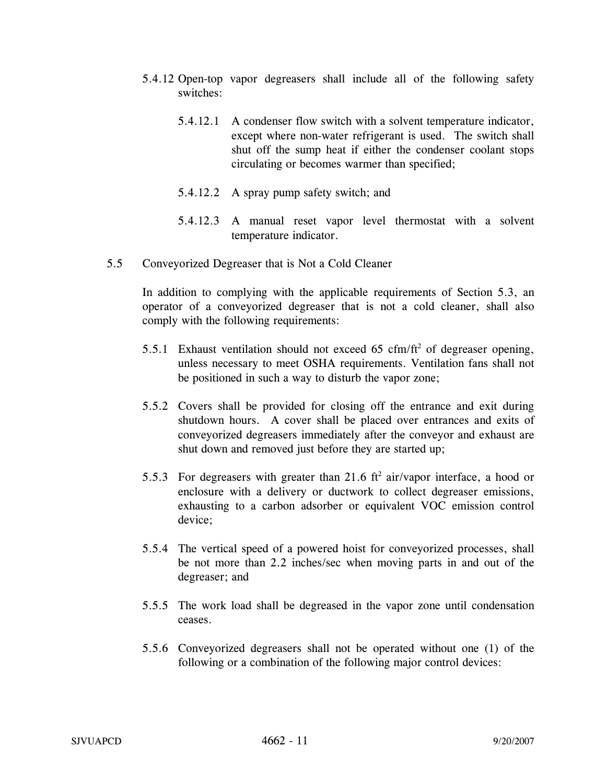- 5.4.12 Open-top vapor degreasers shall include all of the following safety switches:
	- 5.4.12.1 A condenser flow switch with a solvent temperature indicator, except where non-water refrigerant is used. The switch shall shut off the sump heat if either the condenser coolant stops circulating or becomes warmer than specified;
	- 5.4.12.2 A spray pump safety switch; and
	- 5.4.12.3 A manual reset vapor level thermostat with a solvent temperature indicator.
- 5.5 Conveyorized Degreaser that is Not a Cold Cleaner

In addition to complying with the applicable requirements of Section 5.3, an operator of a conveyorized degreaser that is not a cold cleaner, shall also comply with the following requirements:

- 5.5.1 Exhaust ventilation should not exceed 65 cfm/ft<sup>2</sup> of degreaser opening, unless necessary to meet OSHA requirements. Ventilation fans shall not be positioned in such a way to disturb the vapor zone;
- 5.5.2 Covers shall be provided for closing off the entrance and exit during shutdown hours. A cover shall be placed over entrances and exits of conveyorized degreasers immediately after the conveyor and exhaust are shut down and removed just before they are started up;
- 5.5.3 For degreasers with greater than 21.6  $ft^2$  air/vapor interface, a hood or enclosure with a delivery or ductwork to collect degreaser emissions, exhausting to a carbon adsorber or equivalent VOC emission control device;
- 5.5.4 The vertical speed of a powered hoist for conveyorized processes, shall be not more than 2.2 inches/sec when moving parts in and out of the degreaser; and
- 5.5.5 The work load shall be degreased in the vapor zone until condensation ceases.
- 5.5.6 Conveyorized degreasers shall not be operated without one (1) of the following or a combination of the following major control devices: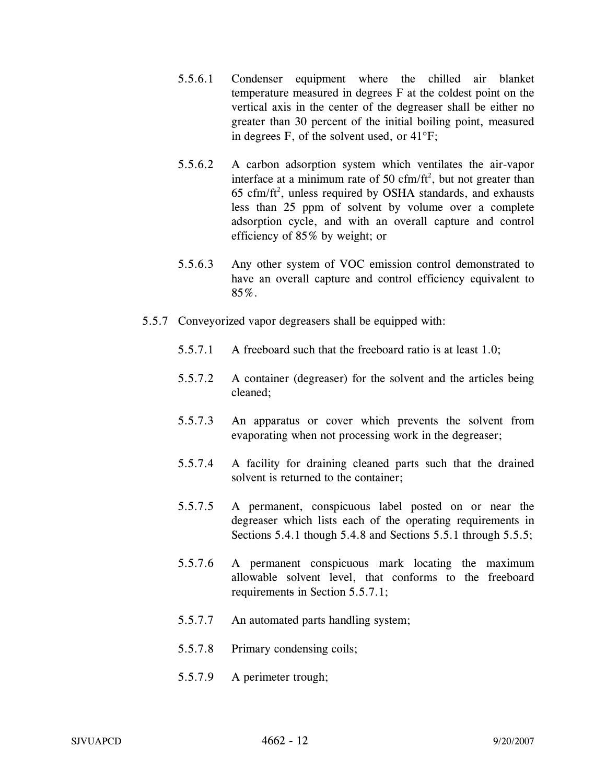- 5.5.6.1 Condenser equipment where the chilled air blanket temperature measured in degrees F at the coldest point on the vertical axis in the center of the degreaser shall be either no greater than 30 percent of the initial boiling point, measured in degrees F, of the solvent used, or 41°F;
- 5.5.6.2 A carbon adsorption system which ventilates the air-vapor interface at a minimum rate of 50  $\text{cfm/ft}^2$ , but not greater than 65 cfm/ft<sup>2</sup>, unless required by OSHA standards, and exhausts less than 25 ppm of solvent by volume over a complete adsorption cycle, and with an overall capture and control efficiency of 85% by weight; or
- 5.5.6.3 Any other system of VOC emission control demonstrated to have an overall capture and control efficiency equivalent to 85%.
- 5.5.7 Conveyorized vapor degreasers shall be equipped with:
	- 5.5.7.1 A freeboard such that the freeboard ratio is at least 1.0;
	- 5.5.7.2 A container (degreaser) for the solvent and the articles being cleaned;
	- 5.5.7.3 An apparatus or cover which prevents the solvent from evaporating when not processing work in the degreaser;
	- 5.5.7.4 A facility for draining cleaned parts such that the drained solvent is returned to the container;
	- 5.5.7.5 A permanent, conspicuous label posted on or near the degreaser which lists each of the operating requirements in Sections 5.4.1 though 5.4.8 and Sections 5.5.1 through 5.5.5;
	- 5.5.7.6 A permanent conspicuous mark locating the maximum allowable solvent level, that conforms to the freeboard requirements in Section 5.5.7.1;
	- 5.5.7.7 An automated parts handling system;
	- 5.5.7.8 Primary condensing coils;
	- 5.5.7.9 A perimeter trough;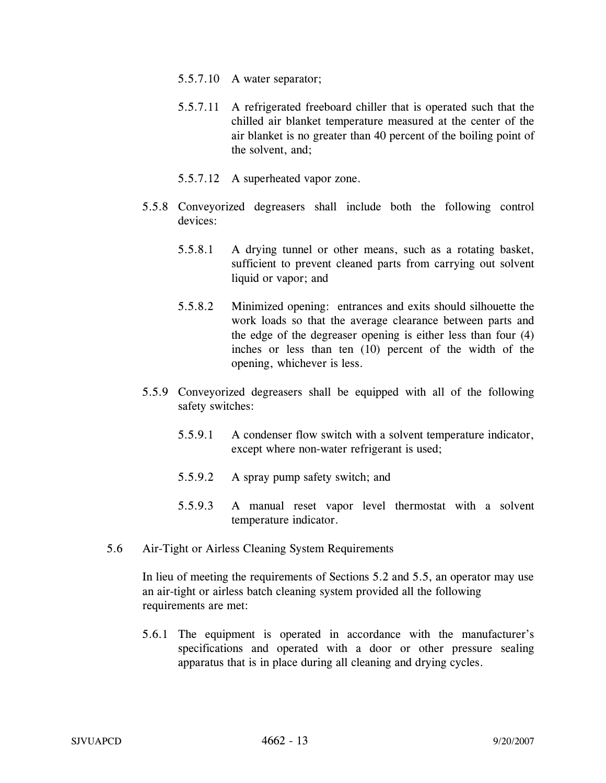- 5.5.7.10 A water separator;
- 5.5.7.11 A refrigerated freeboard chiller that is operated such that the chilled air blanket temperature measured at the center of the air blanket is no greater than 40 percent of the boiling point of the solvent, and;
- 5.5.7.12 A superheated vapor zone.
- 5.5.8 Conveyorized degreasers shall include both the following control devices:
	- 5.5.8.1 A drying tunnel or other means, such as a rotating basket, sufficient to prevent cleaned parts from carrying out solvent liquid or vapor; and
	- 5.5.8.2 Minimized opening: entrances and exits should silhouette the work loads so that the average clearance between parts and the edge of the degreaser opening is either less than four (4) inches or less than ten (10) percent of the width of the opening, whichever is less.
- 5.5.9 Conveyorized degreasers shall be equipped with all of the following safety switches:
	- 5.5.9.1 A condenser flow switch with a solvent temperature indicator, except where non-water refrigerant is used;
	- 5.5.9.2 A spray pump safety switch; and
	- 5.5.9.3 A manual reset vapor level thermostat with a solvent temperature indicator.
- 5.6 Air-Tight or Airless Cleaning System Requirements

In lieu of meeting the requirements of Sections 5.2 and 5.5, an operator may use an air-tight or airless batch cleaning system provided all the following requirements are met:

5.6.1 The equipment is operated in accordance with the manufacturer's specifications and operated with a door or other pressure sealing apparatus that is in place during all cleaning and drying cycles.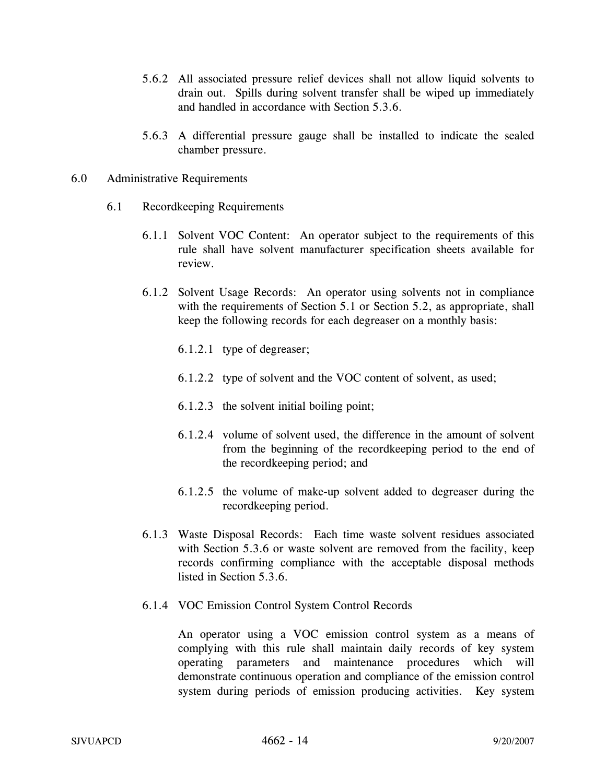- 5.6.2 All associated pressure relief devices shall not allow liquid solvents to drain out. Spills during solvent transfer shall be wiped up immediately and handled in accordance with Section 5.3.6.
- 5.6.3 A differential pressure gauge shall be installed to indicate the sealed chamber pressure.
- 6.0 Administrative Requirements
	- 6.1 Recordkeeping Requirements
		- 6.1.1 Solvent VOC Content: An operator subject to the requirements of this rule shall have solvent manufacturer specification sheets available for review.
		- 6.1.2 Solvent Usage Records: An operator using solvents not in compliance with the requirements of Section 5.1 or Section 5.2, as appropriate, shall keep the following records for each degreaser on a monthly basis:
			- 6.1.2.1 type of degreaser;
			- 6.1.2.2 type of solvent and the VOC content of solvent, as used;
			- 6.1.2.3 the solvent initial boiling point;
			- 6.1.2.4 volume of solvent used, the difference in the amount of solvent from the beginning of the recordkeeping period to the end of the recordkeeping period; and
			- 6.1.2.5 the volume of make-up solvent added to degreaser during the recordkeeping period.
		- 6.1.3 Waste Disposal Records: Each time waste solvent residues associated with Section 5.3.6 or waste solvent are removed from the facility, keep records confirming compliance with the acceptable disposal methods listed in Section 5.3.6.
		- 6.1.4 VOC Emission Control System Control Records

An operator using a VOC emission control system as a means of complying with this rule shall maintain daily records of key system operating parameters and maintenance procedures which will demonstrate continuous operation and compliance of the emission control system during periods of emission producing activities. Key system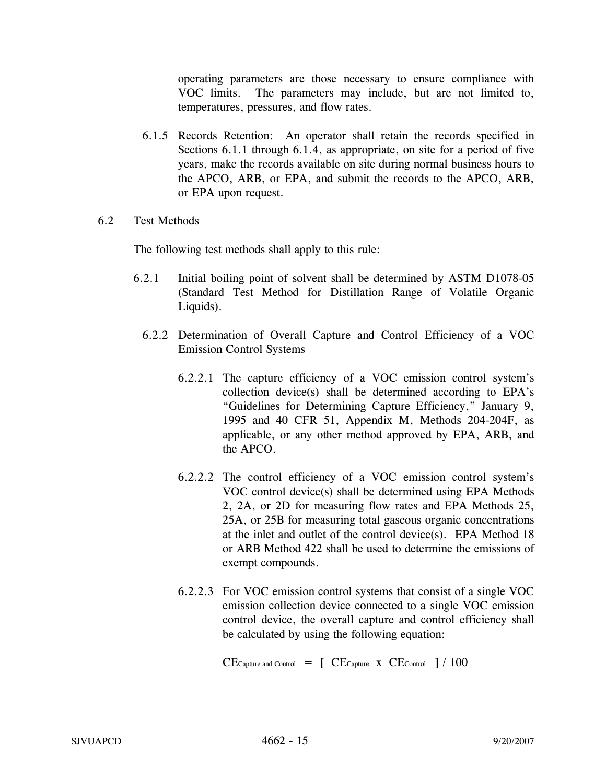operating parameters are those necessary to ensure compliance with VOC limits. The parameters may include, but are not limited to, temperatures, pressures, and flow rates.

- 6.1.5 Records Retention: An operator shall retain the records specified in Sections 6.1.1 through 6.1.4, as appropriate, on site for a period of five years, make the records available on site during normal business hours to the APCO, ARB, or EPA, and submit the records to the APCO, ARB, or EPA upon request.
- 6.2 Test Methods

The following test methods shall apply to this rule:

- 6.2.1 Initial boiling point of solvent shall be determined by ASTM D1078-05 (Standard Test Method for Distillation Range of Volatile Organic Liquids).
	- 6.2.2 Determination of Overall Capture and Control Efficiency of a VOC Emission Control Systems
		- 6.2.2.1 The capture efficiency of a VOC emission control system's collection device(s) shall be determined according to EPA's "Guidelines for Determining Capture Efficiency," January 9, 1995 and 40 CFR 51, Appendix M, Methods 204-204F, as applicable, or any other method approved by EPA, ARB, and the APCO.
		- 6.2.2.2 The control efficiency of a VOC emission control system's VOC control device(s) shall be determined using EPA Methods 2, 2A, or 2D for measuring flow rates and EPA Methods 25, 25A, or 25B for measuring total gaseous organic concentrations at the inlet and outlet of the control device(s). EPA Method 18 or ARB Method 422 shall be used to determine the emissions of exempt compounds.
		- 6.2.2.3 For VOC emission control systems that consist of a single VOC emission collection device connected to a single VOC emission control device, the overall capture and control efficiency shall be calculated by using the following equation:

 $CE$ Capture and Control  $=$   $[CE$ Capture  $X$   $CE$ Control  $] / 100$